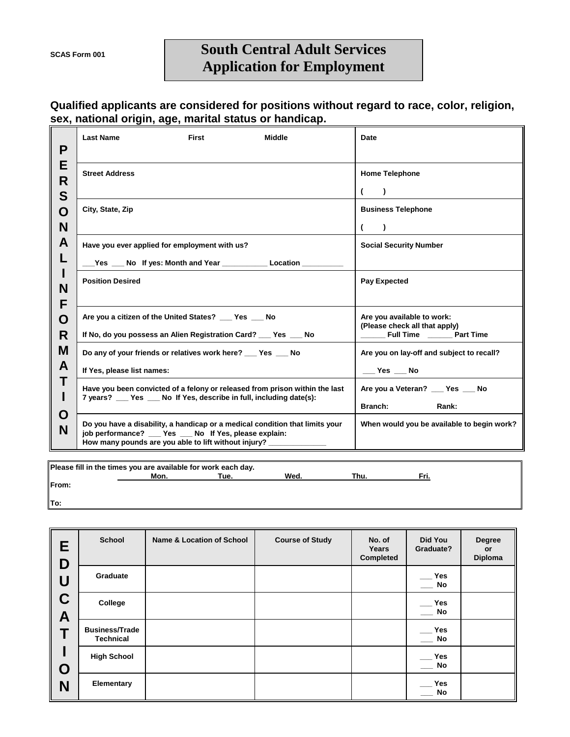## **South Central Adult Services Application for Employment**

## **Qualified applicants are considered for positions without regard to race, color, religion, sex, national origin, age, marital status or handicap.**

| P                                                                                                                | <b>Last Name</b>                                                                                                                                                                                          | First | <b>Middle</b> | Date                                                                                                     |  |
|------------------------------------------------------------------------------------------------------------------|-----------------------------------------------------------------------------------------------------------------------------------------------------------------------------------------------------------|-------|---------------|----------------------------------------------------------------------------------------------------------|--|
| E<br>R                                                                                                           | <b>Street Address</b>                                                                                                                                                                                     |       |               | <b>Home Telephone</b><br>$\lambda$                                                                       |  |
| S<br>O<br>N                                                                                                      | City, State, Zip                                                                                                                                                                                          |       |               | <b>Business Telephone</b><br>$\lambda$                                                                   |  |
| A<br>L                                                                                                           | Have you ever applied for employment with us?<br>_Yes ___ No If yes: Month and Year ____________ Location _________                                                                                       |       |               | <b>Social Security Number</b>                                                                            |  |
| н<br>N<br>F                                                                                                      | <b>Position Desired</b>                                                                                                                                                                                   |       |               | <b>Pay Expected</b>                                                                                      |  |
| O<br>R                                                                                                           | Are you a citizen of the United States? Fig. 7 Pes Theory<br>If No, do you possess an Alien Registration Card? __ Yes __ No                                                                               |       |               | Are you available to work:<br>(Please check all that apply)<br>_________ Full Time ___________ Part Time |  |
| M<br>A                                                                                                           | Do any of your friends or relatives work here? ___ Yes ___ No<br>If Yes, please list names:                                                                                                               |       |               | Are you on lay-off and subject to recall?<br>$\rule{1em}{0.15mm}$ Yes $\rule{1em}{0.15mm}$ No            |  |
| Т                                                                                                                | Have you been convicted of a felony or released from prison within the last<br>7 years? __ Yes __ No If Yes, describe in full, including date(s):                                                         |       |               | Are you a Veteran? ___ Yes ___ No<br><b>Branch:</b><br>Rank:                                             |  |
| O<br>N                                                                                                           | Do you have a disability, a handicap or a medical condition that limits your<br>job performance? __ Yes __ No If Yes, please explain:<br>How many pounds are you able to lift without injury? ___________ |       |               | When would you be available to begin work?                                                               |  |
| Please fill in the times you are available for work each day.<br>$\mathbf{A}$ and $\mathbf{A}$<br>$1.4.4 \pm .1$ |                                                                                                                                                                                                           |       |               |                                                                                                          |  |

| $\parallel$ riease nii in the times you are available for work each day. |      |      |      |      |      |  |
|--------------------------------------------------------------------------|------|------|------|------|------|--|
|                                                                          | Mon. | Tue. | Wed. | Thu. | Fri. |  |
| From:                                                                    |      |      |      |      |      |  |
| lTo:                                                                     |      |      |      |      |      |  |

| Е<br>D      | <b>School</b>                             | <b>Name &amp; Location of School</b> | <b>Course of Study</b> | No. of<br>Years<br>Completed | Did You<br>Graduate?                      | <b>Degree</b><br><b>or</b><br>Diploma |
|-------------|-------------------------------------------|--------------------------------------|------------------------|------------------------------|-------------------------------------------|---------------------------------------|
| U           | Graduate                                  |                                      |                        |                              | <b>Yes</b><br><b>No</b>                   |                                       |
| C<br>A<br>O | College                                   |                                      |                        |                              | <b>Yes</b><br><b>No</b>                   |                                       |
|             | <b>Business/Trade</b><br><b>Technical</b> |                                      |                        |                              | <b>Yes</b><br><b>No</b>                   |                                       |
|             | <b>High School</b>                        |                                      |                        |                              | <b>Yes</b><br>$\overline{\phantom{a}}$ No |                                       |
| N           | <b>Elementary</b>                         |                                      |                        |                              | <b>Yes</b><br>No                          |                                       |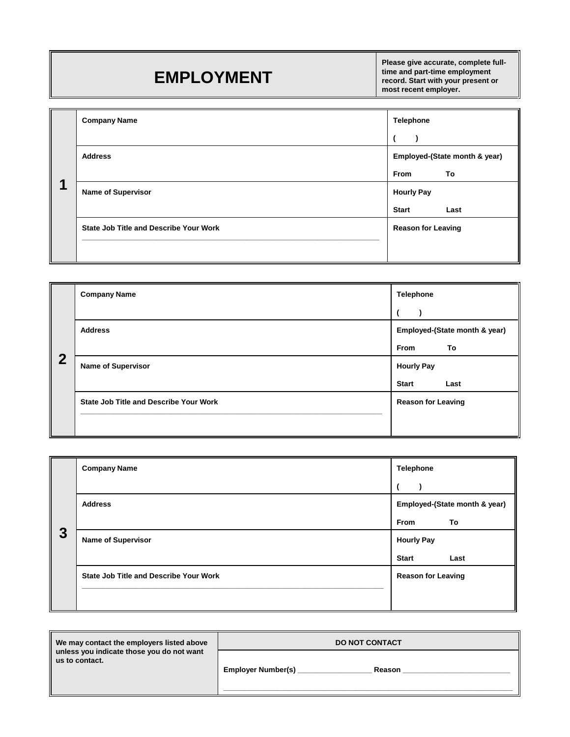## **EMPLOYMENT**

**Please give accurate, complete fulltime and part-time employment record. Start with your present or most recent employer.**

|   | <b>Company Name</b>                           | <b>Telephone</b>                                   |
|---|-----------------------------------------------|----------------------------------------------------|
|   | <b>Address</b>                                | Employed-(State month & year)<br><b>From</b><br>To |
| и | <b>Name of Supervisor</b>                     | <b>Hourly Pay</b><br><b>Start</b><br>Last          |
|   | <b>State Job Title and Describe Your Work</b> | <b>Reason for Leaving</b>                          |

|                | <b>Company Name</b>                           | <b>Telephone</b>              |  |
|----------------|-----------------------------------------------|-------------------------------|--|
|                |                                               |                               |  |
|                | <b>Address</b>                                | Employed-(State month & year) |  |
|                |                                               | <b>From</b><br>To             |  |
| $\overline{2}$ | <b>Name of Supervisor</b>                     | <b>Hourly Pay</b>             |  |
|                |                                               | <b>Start</b><br>Last          |  |
|                | <b>State Job Title and Describe Your Work</b> | <b>Reason for Leaving</b>     |  |
|                |                                               |                               |  |
|                |                                               |                               |  |

|   | <b>Company Name</b>                           | <b>Telephone</b>          |                               |
|---|-----------------------------------------------|---------------------------|-------------------------------|
|   |                                               |                           |                               |
|   | <b>Address</b>                                |                           | Employed-(State month & year) |
|   |                                               | <b>From</b>               | To                            |
| 3 | <b>Name of Supervisor</b>                     | <b>Hourly Pay</b>         |                               |
|   |                                               | <b>Start</b>              | Last                          |
|   | <b>State Job Title and Describe Your Work</b> | <b>Reason for Leaving</b> |                               |
|   |                                               |                           |                               |
|   |                                               |                           |                               |

| We may contact the employers listed above                   | <b>DO NOT CONTACT</b>               |  |
|-------------------------------------------------------------|-------------------------------------|--|
| unless you indicate those you do not want<br>us to contact. | <b>Employer Number(s)</b><br>Reason |  |
|                                                             |                                     |  |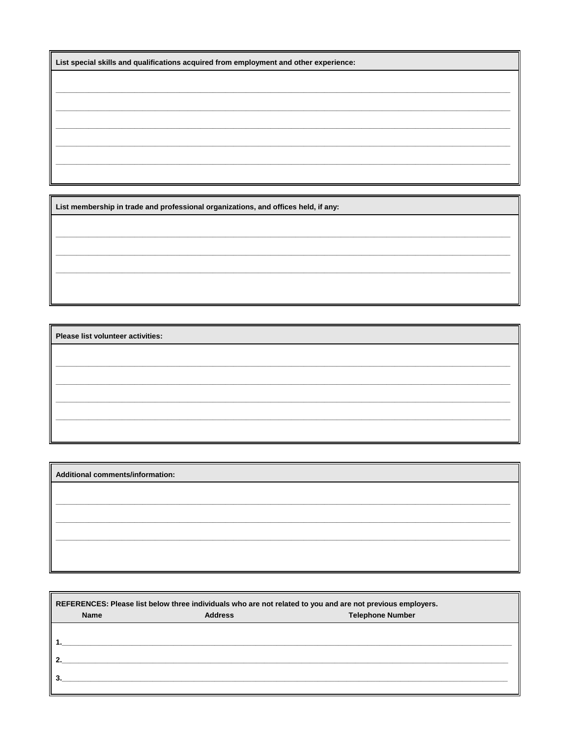| List special skills and qualifications acquired from employment and other experience: |  |  |
|---------------------------------------------------------------------------------------|--|--|
|---------------------------------------------------------------------------------------|--|--|

List membership in trade and professional organizations, and offices held, if any:

Please list volunteer activities:

Additional comments/information:

| REFERENCES: Please list below three individuals who are not related to you and are not previous employers. |                |                         |  |  |
|------------------------------------------------------------------------------------------------------------|----------------|-------------------------|--|--|
| <b>Name</b>                                                                                                | <b>Address</b> | <b>Telephone Number</b> |  |  |
|                                                                                                            |                |                         |  |  |
|                                                                                                            |                |                         |  |  |
| 2                                                                                                          |                |                         |  |  |
| 3                                                                                                          |                |                         |  |  |